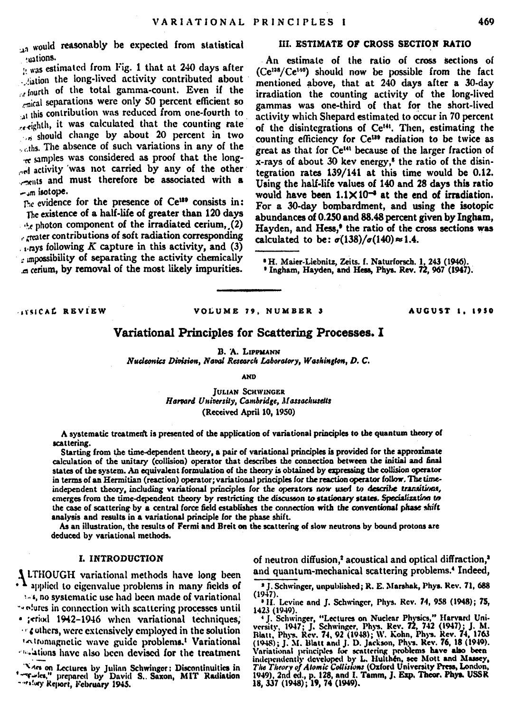an would reasonably be expected from statistical uations.

: was estimated from Fig. 1 that at 240 days after sation the long-lived activity contributed about Jourth of the total gamma-count. Even if the mical separations were only 50 percent efficient so at this contribution was reduced from one-fourth to wighth, it was calculated that the counting rate should change by about 20 percent in two ... ths. The absence of such variations in any of the samples was considered as proof that the longand activity was not carried by any of the other rents and must therefore be associated with a - in isotope.

The evidence for the presence of Ce<sup>189</sup> consists in: The existence of a half-life of greater than 120 days the photon component of the irradiated cerium, (2) . mater contributions of soft radiation corresponding  $_{1}$  ays following K capture in this activity, and (3) mpossibility of separating the activity chemically a cerium, by removal of the most likely impurities.

# III. ESTIMATE OF CROSS SECTION RATIO

An estimate of the ratio of cross sections of (Ce<sup>138</sup>/Ce<sup>140</sup>) should now be possible from the fact mentioned above, that at 240 days after a 30-day irradiation the counting activity of the long-lived gammas was one-third of that for the short-lived activity which Shepard estimated to occur in 70 percent of the disintegrations of Ce<sup>141</sup>. Then, estimating the counting efficiency for Ce<sup>139</sup> radiation to be twice as great as that for Ce<sup>141</sup> because of the larger fraction of x-rays of about 30 key energy.<sup>8</sup> the ratio of the disintegration rates 139/141 at this time would be 0.12. Using the half-life values of 140 and 28 days this ratio would have been  $1.1 \times 10^{-4}$  at the end of irradiation. For a 30-day bombardment, and using the isotopic abundances of 0.250 and 88.48 percent given by Ingham. Hayden, and Hess,<sup>9</sup> the ratio of the cross sections was calculated to be:  $\sigma(138)/\sigma(140) \approx 1.4$ .

<sup>8</sup> H. Maier-Liebnitz, Zeits. f. Naturforsch. 1, 243 (1946).<br><sup>8</sup> Ingham, Hayden, and Hess, Phys. Rev. 72, 967 (1947).

**COLORAT BRUTRW** 

#### VOLUME 29 NUMBER 3

AUGUST 1. 1950

## Variational Principles for Scattering Processes. I

B. A. LIPPMANN

Nucleonics Division, Naval Research Laboratory, Washington, D. C.

AMD

**JULIAN SCHWINGER** Harvard University, Cambridge, Massachusetts (Received April 10, 1950)

A systematic treatment is presented of the application of variational principles to the quantum theory of scattering.

Starting from the time-dependent theory, a pair of variational principles is provided for the approximate calculation of the unitary (collision) operator that describes the connection between the initial and final states of the system. An equivalent formulation of the theory is obtained by expressing the collision operator in terms of an Hermitian (reaction) operator; variational principles for the reaction operator follow. The timeindependent theory, including variational principles for the operators now used to describe transitions, emerges from the time-dependent theory by restricting the discusson to stationary states. Specialization to the case of scattering by a central force field establishes the connection with the conventional phase shift analysis and results in a variational principle for the phase shift.

As an illustration, the results of Fermi and Breit on the scattering of slow neutrons by bound protons are deduced by variational methods.

## I. INTRODUCTION

I LTHOUGH variational methods have long been A applied to eigenvalue problems in many fields of :- 4, no systematic use had been made of variational " plutes in connection with scattering processes until · teriod 1942-1946 when variational techniques. cothers, were extensively employed in the solution 'Attomagnetic wave guide problems.' Variational calations have also been devised for the treatment

Are on Lectures by Julian Schwinger: Discontinuities in Tarties," prepared by David S., Saxon, MIT Radiation

of neutron diffusion,<sup>2</sup> acoustical and optical diffraction,<sup>3</sup> and quantum-mechanical scattering problems.<sup>4</sup> Indeed,

<sup>2</sup> J. Schwinger, unpublished; R. E. Marshak, Phys. Rev. 71, 688  $(1947)$ .

<sup>9</sup> H. Levine and J. Schwinger, Phys. Rev. 74, 958 (1948): 75.

<sup>1423 (1949).&</sup>lt;br>
1947).<br>
1951 - Schwinger, "Lectures on Nuclear Physics," Harvard University, 1947<br>
1951 - Schwinger, Phys. Rev. 74, 1942 (1941).<br>
1961 - Maria Phys. Rev. 74, 92 (1948): W. Kohn, Phys. Rev. 74, 1953<br>
1961 - M 1949), 2nd ed., p. 128, and I. Tamm, J. Exp. Theor. Phys. USSR<br>1949), 2nd ed., p. 128, and I. Tamm, J. Exp. Theor. Phys. USSR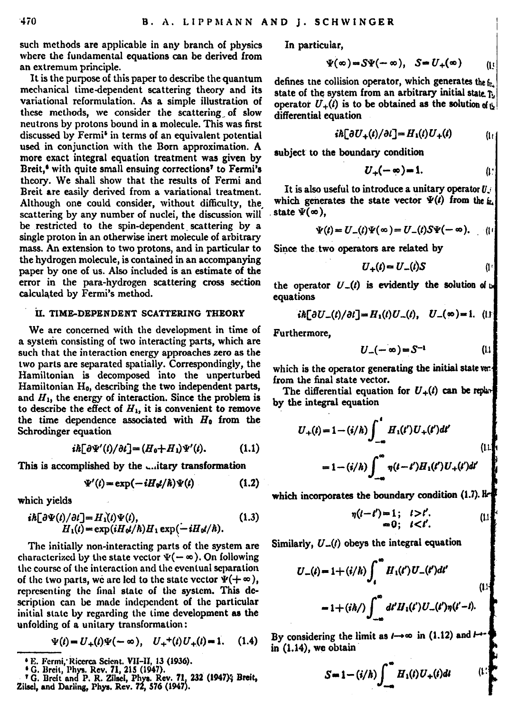such methods are applicable in any branch of physics where the fundamental equations can be derived from an extremum principle.

It is the purpose of this paper to describe the quantum mechanical time-dependent scattering theory and its variational reformulation. As a simple illustration of these methods, we consider the scattering of slow neutrons by protons bound in a molecule. This was first discussed by Fermi<sup>6</sup> in terms of an equivalent potential used in conjunction with the Born approximation. A more exact integral equation treatment was given by Breit,<sup>6</sup> with quite small ensuing corrections<sup>7</sup> to Fermi's theory. We shall show that the results of Fermi and Breit are easily derived from a variational treatment. Although one could consider, without difficulty, the scattering by any number of nuclei, the discussion will be restricted to the spin-dependent scattering by a single proton in an otherwise inert molecule of arbitrary mass. An extension to two protons, and in particular to the hydrogen molecule, is contained in an accompanying paper by one of us. Also included is an estimate of the error in the para-hydrogen scattering cross section calculated by Fermi's method.

## II. TIME-DEPENDENT SCATTERING THEORY

We are concerned with the development in time of a system consisting of two interacting parts, which are such that the interaction energy approaches zero as the two parts are separated spatially. Correspondingly, the Hamiltonian is decomposed into the unperturbed Hamiltonian H<sub>o</sub>. describing the two independent parts. and  $H_1$ , the energy of interaction. Since the problem is to describe the effect of  $H_1$ , it is convenient to remove the time dependence associated with  $H_0$  from the Schrodinger equation

$$
i\hbar \left[\partial \Psi'(t)/\partial t\right] = (H_0 + H_1)\Psi'(t). \tag{1.1}
$$

This is accomplished by the chitary transformation

$$
e'(t) = \exp(-iH_0t/\hbar)\Psi(t) \tag{1.2}
$$

which vields

$$
i\hbar[\partial\Psi(t)/\partial t] = H_1(t)\Psi(t),
$$
  
\n
$$
H_1(t) = \exp(iH_2/\hbar)H_1 \exp(-iH_2/\hbar).
$$
 (1.3)

The initially non-interacting parts of the system are characterized by the state vector  $\Psi(-\infty)$ . On following the course of the interaction and the eventual separation of the two parts, we are led to the state vector  $\Psi(+\infty)$ , representing the final state of the system. This description can be made independent of the particular initial state by regarding the time development as the unfolding of a unitary transformation:

$$
\Psi(t) = U_{+}(t)\Psi(-\infty), \quad U_{+}^{+}(t)U_{+}(t) = 1. \tag{1.4}
$$

In particular.

$$
\Psi(\infty) = S\Psi(-\infty), \quad S = U_{+}(\infty) \qquad (1)
$$

defines the collision operator, which generates the fr. state of the system from an arbitrary initial state 7. operator  $U_n(t)$  is to be obtained as the solution of a differential equation

$$
i\hbar[\partial U_{+}(t)/\partial t] = H_{1}(t)U_{+}(t) \qquad (1)
$$

subject to the boundary condition

It is also useful to introduce a unitary operator  $U$ which generates the state vector  $\Psi(t)$  from the  $t$ . state  $\bar{\Psi}(\infty)$ .

$$
V(t) = U_-(t)\Psi(\infty) = U_-(t)S\Psi(-\infty).
$$
 (1)

Since the two operators are related by

$$
U_{+}(t) = U_{-}(t)S \qquad (1)
$$

the operator  $U_-(t)$  is evidently the solution of  $\omega$ equations

$$
i\hbar [\partial U_{-}(t)/\partial t] = H_{1}(t)U_{-}(t), \quad U_{-}(\infty) = 1. \quad (1)
$$

Furthermore.

$$
U_{-}(-\infty) = S^{-1} \qquad \qquad (1)
$$

which is the operator generating the initial state ve: from the final state vector.

The differential equation for  $U_{+}(t)$  can be replaced by the integral equation

$$
U_{+}(t) = 1 - (i/h) \int_{-\infty}^{t} H_{1}(t') U_{+}(t') dt'
$$
\n
$$
= 1 - (i/h) \int_{-\infty}^{\infty} \eta(t - t') H_{1}(t') U_{+}(t') dt'
$$
\n(11)

which incorporates the boundary condition (1.7). Ik

$$
\eta(l-l')=1; \quad l>l'.
$$
  
=0; \quad l

Similarly,  $U_{-}(t)$  obeys the integral equation

$$
U_{-}(t) = 1 + (i/h) \int_{t}^{\infty} H_{1}(t') U_{-}(t') dt'
$$
  
= 1 + (ih/ ) \int\_{-\infty}^{\infty} dt' H\_{1}(t') U\_{-}(t') \eta(t'-t).

By considering the limit as  $l \rightarrow \infty$  in (1.12) and  $l$  $in (1.14)$ , we obtain

$$
S = 1 - (i/h) \int_{-\infty}^{\infty} H_1(t) U_+(t) dt \qquad (1)
$$

<sup>&</sup>quot;E. Fermi, Ricerca Scient. VII-II, 13 (1936).<br>\* G. Breit, Phys. Rev. 71, 215 (1947).<br>\* G. Breit, Phys. Rev. 71, 215 (1947). Rev. 71, 232 (1947); Breit,<br>Ziisel, and Darling, Phys. Rev. 72, 576 (1947).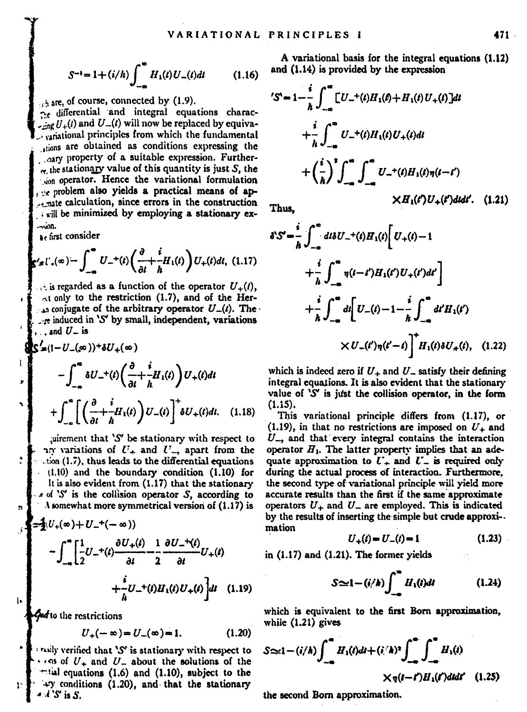$$
S^{-1} = 1 + (i/h) \int_{-\infty}^{\infty} H_1(t) U_-(t) dt \qquad (1.16)
$$

A are, of course, connected by (1.9).

the differential and integral equations charac- $\frac{1}{2}$  and  $U(x)$  will now be replaced by equivavariational principles from which the fundamental stions are obtained as conditions expressing the nary property of a suitable expression. Further $n$ , the stationary value of this quantity is just  $S$ , the son operator. Hence the variational formulation re problem also yields a practical means of apmate calculation, since errors in the construction will be minimized by employing a stationary ex-

Be first consider

ŧ

ı.

ī.

$$
\mathbf{S}'\mathbf{z} \, \mathbf{I}' \, \mathbf{z} \, (\infty) = \int_{-\infty}^{\infty} U_{-}^{+}(t) \left( \frac{\partial}{\partial t} + \frac{i}{h} H_{1}(t) \right) U_{+}(t) dt, \tag{1.17}
$$

is regarded as a function of the operator  $U_{\perp}(t)$ . at only to the restriction (1.7), and of the Herto conjugate of the arbitrary operator  $U_n(t)$ . The re induced in 'S' by small, independent, variations and  $U_{-}$  is

$$
\begin{split} \mathcal{S}'_{\infty}(1-U_{-}(\infty))^{+}\delta U_{+}(\infty) \\ &- \int_{-\infty}^{\infty} \delta U_{-}^{+}(t) \left(\frac{\partial}{\partial t} + \frac{i}{h} H_{1}(t)\right) U_{+}(t) dt \\ &+ \int_{-\infty}^{\infty} \left[ \left(\frac{\partial}{\partial t} + \frac{i}{h} H_{1}(t)\right) U_{-}(t) \right]^{+} \delta U_{+}(t) dt. \end{split} \tag{1.18}
$$

airement that 'S' be stationary with respect to no variations of  $U_+$  and  $U_-$  apart from the ation (1.7), thus leads to the differential equations (1.10) and the boundary condition (1.10) for It is also evident from (1.17) that the stationary  $x$  of 'S' is the collision operator S, according to  $\Lambda$  somewhat more symmetrical version of  $(1.17)$  is

$$
-\int_{-\infty}^{\infty} \left[\frac{1}{2}U_{-}^{+}(\rho) - U_{-}^{+}(-\infty)\right] \frac{1}{2} \frac{\partial U_{-}^{+}(t)}{\partial t} - \frac{1}{2} \frac{\partial U_{-}^{+}(t)}{\partial t} U_{+}(t) + \frac{i}{\hbar}U_{-}^{+}(\rho)H_{+}(t)U_{+}(t)\right]dt \quad (1.19)
$$

Geofio the restrictions

$$
U_{+}(-\infty) = U_{-}(\infty) = 1. \tag{1.20}
$$

taily verified that 'S' is stationary with respect to  $\cdots$ ns of  $U_+$  and  $U_-$  about the solutions of the "tial equations (1.6) and (1.10), subject to the +y conditions (1.20), and that the stationary 4 S is S.

A variational basis for the integral equations (1.12) and (1.14) is provided by the expression

$$
S = 1 - \frac{i}{\hbar} \int_{-\infty}^{\infty} [U_{-}^{+}(t)H_{1}(t) + H_{1}(t)U_{+}(t)]dt
$$
  
+  $\frac{i}{\hbar} \int_{-\infty}^{\infty} U_{-}^{+}(t)H_{1}(t)U_{+}(t)dt$   
+  $\left(\frac{i}{\hbar}\right)^{2} \int_{-\infty}^{\infty} \int_{-\infty}^{\infty} U_{-}^{+}(t)H_{1}(t)\eta(t-t')$   
 $\times H_{1}(t)U_{+}(t')dtdt'$ . (1.21)

Thus. ź

$$
SS = \frac{i}{\hbar} \int_{-\infty}^{\infty} dt \delta U_{-}^{+}(t) H_{1}(t) \left[ U_{+}(t) - 1 + \frac{i}{\hbar} \int_{-\infty}^{\infty} \eta(t - t') H_{1}(t') U_{+}(t') dt' \right] + \frac{i}{\hbar} \int_{-\infty}^{\infty} dt \left[ U_{-}(t) - 1 - \frac{i}{\hbar} \int_{-\infty}^{\infty} dt' H_{1}(t') + \chi U_{-}(t') \eta(t' - t) \right]^{+} H_{1}(t) \delta U_{+}(t), \quad (1.22)
$$

which is indeed zero if  $U_+$  and  $U_-$  satisfy their defining integral equations. It is also evident that the stationary value of 'S' is just the collision operator, in the form  $(1.15)$ .

This variational principle differs from (1.17), or  $(1.19)$ , in that no restrictions are imposed on  $U<sub>+</sub>$  and  $U_{-}$ , and that every integral contains the interaction operator  $H_1$ . The latter property implies that an adequate approximation to  $U_+$  and  $U_-$  is required only during the actual process of interaction. Furthermore, the second type of variational principle will yield more accurate results than the first if the same approximate operators  $U_+$  and  $U_-$  are employed. This is indicated by the results of inserting the simple but crude approximation

$$
U_{+}(t) = U_{-}(t) = 1 \tag{1.23}
$$

in (1.17) and (1.21). The former yields

$$
S \simeq 1 - (i/h) \int_{-\infty}^{\infty} H_1(t) dt \qquad (1.24)
$$

which is equivalent to the first Born approximation. while  $(1.21)$  gives

$$
S \approx 1 - (i/\hbar) \int_{-\infty}^{\infty} H_1(t) dt + (i/\hbar)^2 \int_{-\infty}^{\infty} \int_{-\infty}^{\infty} H_1(t)
$$
  
 
$$
\times \eta(t-t) H_1(t') dtdt' \quad (1.25)
$$

the second Born approximation.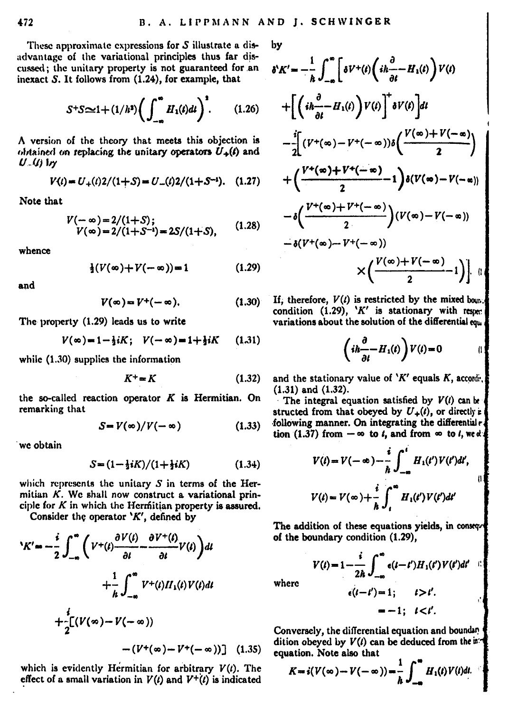These approximate expressions for S illustrate a disadvantage of the variational principles thus far discussed; the unitary property is not guaranteed for an inexact S. It follows from (1.24), for example, that

$$
S^+S \approx 1 + (1/h^2) \bigg( \int_{-\infty}^{\infty} H_1(t) dt \bigg)^2.
$$
 (1.26)

A version of the theory that meets this objection is obtained on replacing the unitary operators  $U<sub>+</sub>(t)$  and  $U$   $(B)$   $W$ 

$$
V(t) = U_{+}(t)2/(1+S) = U_{-}(t)2/(1+S^{-1}). \quad (1.27)
$$

Note that

$$
V(-\infty) = 2/(1+S); V(\infty) = 2/(1+S^{-1}) = 2S/(1+S), \qquad (1.28)
$$

whence

$$
\frac{1}{2}(V(\infty)+V(-\infty))=1
$$
 (1.29)

and

$$
V(\infty) = V^+(-\infty). \tag{1.30}
$$

The property (1.29) leads us to write

$$
V(\infty) = 1 - \frac{1}{2}iK; \quad V(-\infty) = 1 + \frac{1}{2}iK \qquad (1.31)
$$

while (1.30) supplies the information

$$
K^+ = K \tag{1.32}
$$

the so-called reaction operator  $K$  is Hermitian. On remarking that

$$
S = V(\infty)/V(-\infty) \tag{1.33}
$$

we obtain

$$
S = (1 - \frac{1}{2}iK)/(1 + \frac{1}{2}iK) \tag{1.34}
$$

which represents the unitary  $S$  in terms of the Hermitian  $K$ . We shall now construct a variational principle for  $K$  in which the Hermitian property is assured.

Consider the operator 'K', defined by

$$
K' = -\frac{i}{2} \int_{-\infty}^{\infty} \left( V^+(\iota) \frac{\partial V(\iota)}{\partial t} - \frac{\partial V^+(\iota)}{\partial t} V(t) \right) dt
$$
  
+ 
$$
\frac{1}{\hbar} \int_{-\infty}^{\infty} V^+(\iota) H_1(\iota) V(\iota) dt
$$
  
+ 
$$
\frac{i}{2} \left[ (V(\infty) - V(-\infty)) - (V^+(\infty) - V^*(-\infty)) \right] (1.3)
$$

which is evidently Hermitian for arbitrary  $V(t)$ . The effect of a small variation in  $V(t)$  and  $V^+(t)$  is indicated bv

$$
\begin{split} &V_{\mathcal{K}}{}'=-\frac{1}{h}\int_{-\infty}^{\infty}\biggl[\delta V^+(t)\biggl(i\hbar\frac{\partial}{\partial t}-H_1(t)\biggr)V(t)\\ &+\biggl[\biggl(i\hbar\frac{\partial}{\partial t}-H_1(t)\biggr)V(t)\biggl]^\ast\delta V(t)\biggr]dt\\ &-\frac{j}{2}\biggl[(V^+(x)-V^+(-x))\delta\biggl(\frac{V(x)+V(-x)}{2}\biggr)\\ &+\biggl(\frac{V^+(x)+V^+(-x)}{2}-1\biggr)\delta(V(x)-V(-x))\\ &-\delta\biggl(\frac{V^+(x)+V^+(-x)}{2}\biggr)(V(x)-V(-x))\\ &\times\biggl(\frac{V(x)+V(-x)}{2}-1\biggr)\biggr]\quad\oplus\end{split}
$$

If, therefore,  $V(t)$  is restricted by the mixed boun. condition  $(1.29)$ . 'K' is stationary with respectively variations about the solution of the differential equ

$$
\left(ih\frac{\partial}{\partial t} - H_1(t)\right)V(t) = 0 \qquad \qquad (1)
$$

and the stationary value of ' $K'$  equals  $K$ , accordi-.  $(1.31)$  and  $(1.32)$ .

The integral equation satisfied by  $V(t)$  can be structed from that obeyed by  $U_{+}(t)$ , or directly is following manner. On integrating the differential r. tion  $(1.37)$  from  $-\infty$  to *t*, and from  $\infty$  to *t*, wed.

$$
V(t) = V(-\infty) - \frac{i}{\hbar} \int_{-\infty}^{t} H_1(t') V(t') dt',
$$
  

$$
V(t) = V(\infty) + \frac{i}{\hbar} \int_{t}^{\infty} H_1(t') V(t') dt'
$$

The addition of these equations yields, in consequ of the boundary condition (1.29),

$$
V(t) = 1 - \frac{i}{2h} \int_{-\infty}^{\infty} e(t - t') H_1(t') V(t') dt'
$$

where

$$
\epsilon(t-t') = 1; \qquad t > t'.
$$

$$
= -1; \quad t < t'.
$$

Conversely, the differential equation and boundary dition obeyed by  $V(t)$  can be deduced from the  $e$ . equation. Note also that

$$
K = i(V(\infty) - V(-\infty)) = \frac{1}{h} \int_{-\infty}^{\infty} H_1(t) V(t) dt.
$$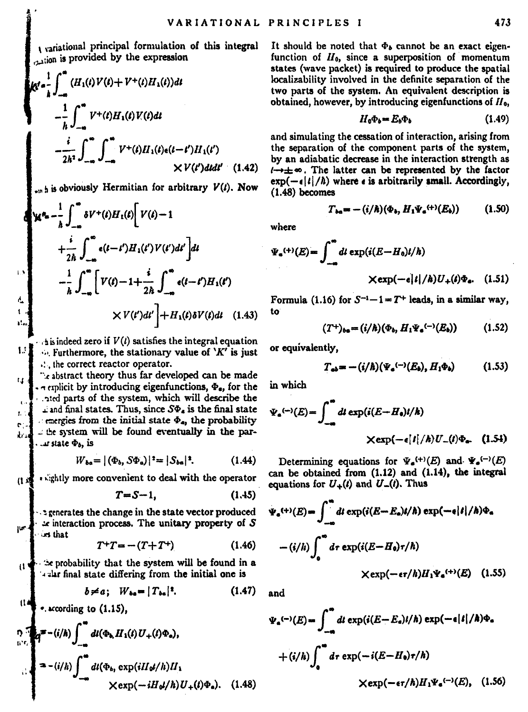variational principal formulation of this integral vion is provided by the expression

$$
R^d \sum_{i=1}^n \int_{-\infty}^{\infty} (H_1(t) V(t) + V^+(t) H_1(t)) dt
$$
  
\n
$$
- \frac{1}{h} \int_{-\infty}^{\infty} V^+(t) H_1(t) V(t) dt
$$
  
\n
$$
- \frac{i}{2h^2} \int_{-\infty}^{\infty} \int_{-\infty}^{\infty} V^+(t) H_1(t) t(t-t') H_1(t')
$$
  
\n
$$
\times V(t') dt dt' \quad (1.42)
$$

 $...$  is obviously Hermitian for arbitrary  $V(t)$ . Now

$$
\begin{aligned}\n\mathbf{X}^{\mathbf{e}_{\mathbf{a}}} &= \frac{1}{h} \int_{-\infty}^{\infty} \delta V^+(t) H_1(t) \left[ V(t) - 1 \right. \\
& \left. + \frac{i}{2h} \int_{-\infty}^{\infty} \mathbf{e}(t - t') H_1(t') V(t') dt' \right] dt \\
&= \frac{1}{h} \int_{-\infty}^{\infty} \left[ V(t) - 1 + \frac{i}{2h} \int_{-\infty}^{\infty} \mathbf{e}(t - t') H_1(t') \right. \\
&\quad \times V(t') dt' \left. \right] + H_1(t) \delta V(t) dt \quad (1.43)\n\end{aligned}
$$

 $\Delta$  is indeed zero if  $V(t)$  satisfies the integral equation  $\sim$  Furthermore, the stationary value of  $'K'$  is just ... the correct reactor operator.

exabstract theory thus far developed can be made  $\ddot{\phantom{a}}$  $\sim$  explicit by introducing eigenfunctions,  $\Phi_{\alpha}$ , for the ated parts of the system, which will describe the i and final states. Thus, since  $S\Phi_4$  is the final state ł.  $\epsilon$  energies from the initial state  $\Phi_{\bf a}$ , the probability ċ the system will be found eventually in the parλr. u state  $\Phi_b$ , is

$$
W_{ba} = |(\Phi_b, S\Phi_a)|^2 = |S_{ba}|^2. \tag{1.44}
$$

. sightly more convenient to deal with the operator  $\mathbf{u}$ 

$$
T = S - 1, \tag{1.45}
$$

a generates the change in the state vector produced ar interaction process. The unitary property of S in that

$$
T^+T = -(T+T^+)
$$
 (1.46)

the probability that the system will be found in a đ alar final state differing from the initial one is

$$
b \neq a; \quad W_{ba} = |T_{ba}|^2. \tag{1.47}
$$

. according to (1.15),

$$
\sum_{i=1}^{n} \mathbf{q} = -(i/h) \int_{-\infty}^{\infty} dt(\Phi_h H_1(t) U_+(\ell) \Phi_u),
$$
  
\n
$$
= -(i/h) \int_{-\infty}^{\infty} dt(\Phi_h \exp(iH_0/\ell)) H_1
$$
  
\n
$$
\times \exp(-iH_0/\ell) U_+(\ell) \Phi_u). \quad (1.48)
$$

It should be noted that  $\Phi_b$  cannot be an exact eigenfunction of  $H_0$ , since a superposition of momentum states (wave packet) is required to produce the spatial localizability involved in the definite separation of the two parts of the system. An equivalent description is obtained, however, by introducing eigenfunctions of  $H_0$ .

$$
H_0\Phi_b = E_b\Phi_b \tag{1.49}
$$

and simulating the cessation of interaction, arising from the separation of the component parts of the system. by an adiabatic decrease in the interaction strength as  $\rightarrow \pm \infty$ . The latter can be represented by the factor  $\exp(-\epsilon |t|/\hbar)$  where  $\epsilon$  is arbitrarily small. Accordingly,  $(1.48)$  becomes

$$
T_{ba} = -(i/\hbar)(\Phi_b, H_1\Psi_a^{(+)}(E_b))
$$

$$
F_a^{(+)}(E) = \int_{-\infty}^{\infty} dt \exp(i(E - H_0)t/\hbar)
$$
  
 
$$
\times \exp(-\epsilon|\ell|/\hbar)U_{+}(t)\Phi_a. \quad (1.51)
$$

Formula (1.16) for  $S^{-1}-1 = T^+$  leads, in a similar way, to

$$
(T^+)_{ba} = (i/\hbar)(\Phi_b, H_1 \Psi_a^{(-)}(E_b)) \qquad (1.52)
$$

or equivalently.

$$
T_{ab} = -(i/\hbar)(\Psi_a^{(-)}(E_b), H_1\Phi_b)
$$
 (1.53)

in which

where

$$
\Psi_{\mathbf{a}}^{(-)}(E) = \int_{-\infty}^{\infty} dt \exp(i(E - H_{\mathbf{0}})l/\hbar)
$$
  
 
$$
\times \exp(-\epsilon|I|/\hbar)U_{-}(l)\Phi_{\mathbf{a}}.
$$
 (1.54)

Determining equations for  $\Psi_e^{(+)}(E)$  and  $\Psi_e^{(-)}(E)$ can be obtained from (1.12) and (1.14), the integral equations for  $U_{\rightarrow}(t)$  and  $U_{\rightarrow}(t)$ . Thus

$$
\Psi_{a}^{(+)}(E) = \int_{-\infty}^{\infty} dt \exp(i(E - E_{a})t/\hbar) \exp(-\epsilon |t|/\hbar) \Phi_{a}
$$

$$
-(i/\hbar) \int_{0}^{\infty} dr \exp(i(E - H_{a})\tau/\hbar)
$$

$$
\times \exp(-\epsilon \tau/\hbar) H_{1}\Psi_{a}^{(+)}(E) \quad (1.55)
$$

and

$$
V_{\mathbf{a}}(-\lambda(E) - \int_{-\mathbf{a}}^{\infty} dt \exp(i(E - E_{\mathbf{a}})/\hbar) \exp(-\mathbf{a}|t|/\hbar)\Phi_{\mathbf{a}}
$$
  
+  $(i/\hbar) \int_{\mathbf{a}}^{\infty} dr \exp(-i(E - H_{\mathbf{a}})\tau/\hbar)$   
  $\times \exp(-\mathbf{a}\tau/\hbar)H_1\Psi_{\mathbf{a}}(\mathbf{a}^{(-)}/E), \quad (1.56)$ 

 $(1.50)$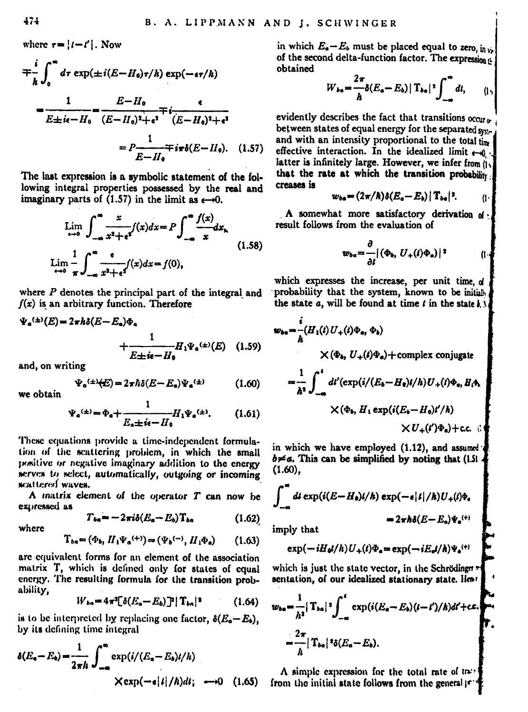$$
\begin{split} &= \frac{i}{h} \int_0^\infty d\tau \, \exp(\pm i(E - H_0)\tau/h) \, \exp(-\epsilon \tau/h) \\ &= \frac{1}{E \pm i\epsilon - H_0} - \frac{E - H_0}{(E - H_0)^3 + \epsilon^3} \frac{\epsilon}{(E - H_0)^3 + \epsilon^4} \\ &= P \frac{1}{E - H_0} \mp i \tau \delta(E - H_0). \quad (1.5) \end{split}
$$

The last expression is a symbolic statement of the following integral properties possessed by the real and imaginary parts of  $(1.57)$  in the limit as  $\epsilon \rightarrow 0$ .

$$
\lim_{x \to 0} \int_{-\infty}^{\infty} \frac{x}{x^2 + e^f}(x) dx = P \int_{-\infty}^{\infty} \frac{f(x)}{x} dx,
$$
\n
$$
\lim_{x \to 0} \frac{1}{\pi} \int_{-\infty}^{\infty} \frac{e}{x^2 + e^f}(x) dx = f(0),
$$
\n(1.58)

where  $P$  denotes the principal part of the integral and  $f(x)$  is an arbitrary function. Therefore

$$
\Psi_{\mathbf{e}}^{(\pm)}(E) = 2\pi\hbar\delta(E - E_{\mathbf{e}})\Phi_{\mathbf{e}}
$$
  
+ 
$$
\frac{1}{E \pm i\mathbf{e} - H_{\mathbf{e}}}H_1\Psi_{\mathbf{e}}^{(\pm)}(E) \quad (1.59)
$$
  
and on writing

$$
\Psi_a^{(\pm)}(E) = 2\pi\hbar\delta(E - E_a)\Psi_a^{(\pm)}\tag{1.60}
$$

we obtain

$$
\Psi_{a}^{(\pm)} = \Phi_{a} + \frac{1}{E_{a} \pm i\epsilon - H_{0}} H_{1} \Psi_{a}^{(\pm)}.
$$
 (1.61)

These equations provide a time-independent formulation of the scattering problem, in which the small positive or negative imaginary addition to the energy serves to select, automatically, outgoing or incoming scattered waves.

A matrix element of the operator  $T$  can now be expressed as

$$
T_{ba} = -2\pi i \delta (E_a - E_b) T_{ba} \tag{1.62}
$$

$$
T_{ba} = (\Phi_b, H_i \Psi_a^{(+)}) = (\Psi_b^{(-)}, H_i \Phi_a) \qquad (1.63)
$$

are equivalent forms for an element of the association matrix T, which is defined only for states of equal energy. The resulting formula for the transition probability.

$$
W_{ba} = 4\pi^2 [\delta(E_a - E_b)]^2 |T_{ba}|^2 \qquad (1.64)
$$

is to be interpreted by replacing one factor,  $\delta(E_a - E_b)$ , by its defining time integral

$$
\delta(E_a - E_b) = \frac{1}{2\pi h} \int_{-\infty}^{\infty} \exp(i/(E_a - E_b)/h)
$$
  
 
$$
\times \exp(-\epsilon |i|/h)dt; \longrightarrow 0 \quad (1.65)
$$

in which  $E_a - E_b$  must be placed equal to zero in of the second delta-function factor. The expression it obtained

$$
W_{ba} = \frac{2\pi}{h} \delta(E_a - E_b) |T_{ba}|^2 \int_{-\infty}^{\infty} dt, \qquad (1,
$$

evidently describes the fact that transitions occur. between states of equal energy for the separated sysand with an intensity proportional to the total time effective interaction. In the idealized limit  $-4$ . latter is infinitely large. However, we infer from a. that the rate at which the transition probability creases is

$$
w_{ba} = (2\pi/\hbar)\delta(E_a - E_b) |T_{ba}|^2.
$$
 (1)

A somewhat more satisfactory derivation of result follows from the evaluation of

٠

$$
v_{ba} = \frac{\partial}{\partial t} |(\Phi_b, U_+(t)\Phi_a)|^2 \qquad (t \cdot
$$

which expresses the increase, per unit time of probability that the system, known to be initial the state  $a$ , will be found at time  $t$  in the state  $h \lambda$ 

$$
\begin{aligned}\n\mathbf{w}_{\mathbf{b}\mathbf{a}} &= \frac{i}{h} \langle H_1(t)U_+(\mathbf{i})\Phi_{\mathbf{a}}, \Phi_{\mathbf{b}} \rangle \\
&\quad \times (\Phi_{\mathbf{b}}, U_+(\mathbf{i})\Phi_{\mathbf{a}}) + \text{complex conjugate} \\
&= \frac{1}{h^3} \int_{-\infty}^{\mathbf{i}} d\ell' \exp(i/ (E_{\mathbf{a}} - H_0)/\hbar) U_+(\mathbf{i})\Phi_{\mathbf{a}}, H_1\Phi_{\mathbf{a}} \\
&\quad \times (\Phi_{\mathbf{b}}, H_1 \exp(i/(E_{\mathbf{a}} - H_0)/\hbar)) \\
&\quad \times U_+(\mathbf{i})\Phi_{\mathbf{a}}) + \text{c.c.} \end{aligned}
$$

in which we have employed (1.12), and assumed  $b \neq a$ . This can be simplified by noting that (1.5).  $(1.60)$ .

$$
\int_{-\infty}^{\infty} dt \exp(i(E - H_0)t/\hbar) \exp(-\epsilon |t|/\hbar) U_{+}(t)\Phi_{+}
$$
  
=  $2\pi\hbar\delta(E - E_{\alpha})\Psi_{+}^{(+)}$ 

imply that

$$
\exp(-iH_0t/\hbar)U_+(t)\Phi_a=\exp(-iE_a t/\hbar)\Psi_a^{(+)}
$$

which is just the state vector, in the Schrödinger\* sentation, of our idealized stationary state. Hear

$$
\begin{aligned} w_{ba} &= \frac{1}{h^2} |\operatorname{Tr}_a|^2 \int_{-\pi}^t \exp(i(E_a - E_b)(t - t')/h) dt' + c\pi. \\ &= \frac{2\pi}{h} |\operatorname{Tr}_a|^2 \delta(E_a - E_b). \end{aligned}
$$

A simple expression for the total rate of tafrom the initial state follows from the general if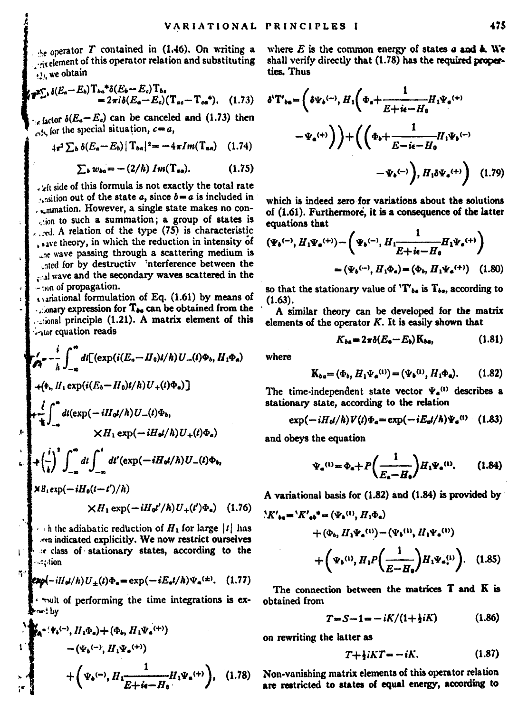$\lambda$  operator T contained in (1.46). On writing a  $\frac{1}{100}$  of the set of this operator relation and substituting ... we obtain

$$
\mathbf{F}_{\bullet}^{\mathbf{X}_{\bullet}^{\mathbf{X}}},\delta(E_{a}-E_{b})\mathbf{T}_{ba}^{*}\delta(E_{b}-E_{c})\mathbf{T}_{ba}
$$
  
=  $2\pi i\delta(E_{a}-E_{c})(\mathbf{T}_{ac}-\mathbf{T}_{ca}^{*}).$  (1.73)

 $\epsilon_{\alpha}$  factor  $\delta(E_a - E_c)$  can be canceled and (1.73) then for the special situation,  $c = a$ ,

$$
4\pi^2\sum_b \delta(E_a-E_b) |T_{ba}|^2 = -4\pi Im(T_{aa}) \quad (1.74)
$$

$$
\sum_{b} w_{ba} = -(2/\hbar) Im(\mathbf{T}_{aa}). \qquad (1.75)
$$

. At side of this formula is not exactly the total rate  $\cdot$  is included in ...mmation. However, a single state makes no consion to such a summation; a group of states is  $\ldots$  d. A relation of the type  $(75)$  is characteristic save theory, in which the reduction in intensity of ... w wave passing through a scattering medium is ated for by destructiv interference between the wave and the secondary waves scattered in the - son of propagation.

contained formulation of Eq. (1.61) by means of ...onary expression for T<sub>be</sub> can be obtained from the would principle (1.21). A matrix element of this sator countion reads

$$
\begin{split} \mathbf{z}'_{\mathbf{A}} &= -\frac{\mathrm{i}}{\hbar} \int_{-\infty}^{\infty} df\Big(\exp\big(i(E_{n}-H_{0})\mu/\hbar\big)U_{-}(\mu)\Phi_{n}\,H_{1}\Phi_{n}\big) \\ &+ \big(\Phi_{1},H_{1}\exp\big(i(E_{n}-H_{0})\mu/\hbar\big)U_{+}(\mu)\Phi_{n}\big)\Big] \\ &+ \frac{\mathrm{i}}{\hbar} \int_{-\infty}^{\infty} dt\big(\exp\big(-iH_{0}\mu/\hbar\big)U_{-}(\mu)\Phi_{n}\big) \\ &\times H_{1}\exp\big(-iH_{0}\mu/\hbar\big)U_{+}(\mu)\Phi_{n}\big) \\ &+ \big(\frac{\mathrm{i}}{\hbar}\big)^{2} \int_{-\infty}^{\infty} df\big(\frac{\mathrm{i}}{\hbar}d\mu'\Big(\exp\big(-iH_{0}\mu/\hbar\big)U_{-}(\mu)\Phi_{n}\big) \\ &\times H_{1}\exp\big(-iH_{0}(\mu-\mu')/\hbar\big) \\ &\times H_{2}\exp\big(-iH_{0}(\mu-\mu')/\hbar\big) \\ &\times H_{1}\exp\big(-iH_{0}(\mu-\mu)/\hbar\big) \\ &\times H_{2}\exp\big(-iH_{0}(\mu-\mu)/\hbar\big) \\ &\times H_{3}\exp\big(-iH_{0}(\mu-\mu)/\hbar\big) \\ &\times H_{4}\exp\big(-iH_{0}(\mu-\mu)/\hbar\big) \\ &\times H_{5}\exp\big(-iH_{0}(\mu-\mu)/\hbar\big) \\ &\times H_{6}\exp\big(-iH_{0}(\mu-\mu)/\hbar\big) \\ &\times H_{6}\exp\big(-iH_{0}(\mu-\mu)/\hbar\big) \\ &\times H_{1}\exp\big(-iH_{0}(\mu-\mu)/\hbar\big) \\ &\times H_{2}\exp\big(-iH_{0}(\mu-\mu)/\hbar\big) \\ &\times H_{3}\exp\big(-iH_{0}(\mu-\mu)/\hbar\big) \\ &\times H_{4}\exp\big(-iH_{0}(\mu-\mu)/\hbar\big) \\ &\times H_{5}\exp\big(-iH_{0}(\mu-\mu)/\hbar\big) \\ &\times H_{6}\exp\big(-iH_{0}(\mu-\mu)/\hbar\big) \\ &
$$

the adiabatic reduction of  $H_1$  for large  $|I|$  i en indicated explicitly. We now restrict ourselves re class of stationary states, according to the ce tion.

$$
\exp(-iH_{\theta}/h)U_{\pm}(t)\Phi_{a} = \exp(-iE_{a}t/h)\Psi_{a}^{(\pm)}.
$$
 (1.77)

walt of performing the time integrations is exon! hv

$$
\begin{array}{l}\n\vdots \\
\downarrow \mathbf{K}_{\mathbf{A}}^{(-\mathbf{v},\mathbf{t}(-\mathbf{v})}, H_1\Phi_{\mathbf{v}}) + (\Phi_{\mathbf{v}}, H_1\Psi_{\mathbf{z}}^{(+\mathbf{v})}) \\
-(\Psi_{\mathbf{z}}^{(-\mathbf{v})}, H_1\Psi_{\mathbf{z}}^{(+\mathbf{v})}) \\
\downarrow \mathbf{K}_{\mathbf{z}}^{(-\mathbf{v})} + \left(\Psi_{\mathbf{z}}^{(-\mathbf{v})}, H_1 \frac{1}{E + \mathbf{z} - H_1} H_1 \Psi_{\mathbf{z}}^{(+\mathbf{v})}\right), \quad (1.78)\n\end{array}
$$

where  $E$  is the common energy of states  $a$  and  $k$ . We shall verify directly that (1.78) has the required properties. Thus

$$
\delta^{\mathsf{v}} \mathbf{T}_{\mathsf{ta}} = \left( \delta \Psi_{\mathsf{b}}^{(-)} , H_{1} \left( \Phi_{\mathsf{a}} + \frac{1}{E + i \mathsf{a} - H_{\mathsf{b}}} H_{1} \Psi_{\mathsf{a}}^{(+)} \right) - \Psi_{\mathsf{a}}^{(+)} \right) \bigg) + \left( \left( \Phi_{\mathsf{b}} + \frac{1}{E - i \mathsf{a} - H_{\mathsf{b}}} H_{1} \Psi_{\mathsf{b}}^{(-)} - \Psi_{\mathsf{b}}^{(-)} \right), H_{1} \delta \Psi_{\mathsf{a}}^{(+)} \right) \tag{1.79}
$$

which is indeed zero for variations about the solutions. of (1.61). Furthermore, it is a consequence of the latter equations that

$$
\begin{aligned} \left(\Psi_{b}^{(-)}, H_{1}\Psi_{a}^{(+)}\right) &= \left(\Psi_{b}^{(-)}, H_{1}\frac{1}{E + i\epsilon - H_{0}} H_{1}\Psi_{a}^{(+)}\right) \\ &= \left(\Psi_{b}^{(-)}, H_{1}\Phi_{a}\right) = \left(\Phi_{b}, H_{1}\Psi_{a}^{(+)}\right) \end{aligned} \tag{1.80}
$$

so that the stationary value of  $T'_{ba}$  is  $T_{ba}$ , according to  $(1.63)$ .

A similar theory can be developed for the matrix elements of the operator  $K$ . It is easily shown that

$$
K_{ba} = 2\pi \delta (E_a - E_b) \, \mathrm{K}_{ba}, \tag{1.81}
$$

where

$$
\mathbf{K}_{ba} = (\Phi_b, H_1 \Psi_a^{(1)}) = (\Psi_b^{(1)}, H_1 \Phi_a). \tag{1.82}
$$

The time-independent state vector  $\Psi_a^{(1)}$  describes a stationary state, according to the relation

$$
\exp(-iH_0t/\hbar)V(t)\Phi_a=\exp(-iE_a/\hbar)\Psi_a^{(1)}\quad(1.83)
$$

and obeys the equation

$$
\Psi_{\bullet}{}^{(1)} = \Phi_{\bullet} + P\left(\frac{1}{E_{\bullet} - H_{\bullet}}\right) H_1 \Psi_{\bullet}{}^{(1)}, \qquad (1.84)
$$

A variational basis for (1.82) and (1.84) is provided by

$$
\begin{split} \mathcal{K}'_{\mathbf{ba}} &= \mathcal{K}'_{\mathbf{ab}} \bullet = (\Psi_b^{(1)}, H_1 \Phi_a) \\ &+ (\Phi_b, H_1 \Psi_a^{(1)} ) - (\Psi_b^{(1)}, H_1 \Psi_a^{(1)} ) \\ &+ \left( \Psi_b^{(1)}, H_1 P \left( \frac{1}{E - H_0} \right) H_1 \Psi_a^{(1)} \right). \end{split} \tag{1.85}
$$

The connection between the matrices T and K is obtained from

$$
T = S - 1 = -iK/(1 + iK)
$$
 (1.86)

on rewriting the latter as

$$
T + \frac{1}{2}iKT = -iK. \tag{1.87}
$$

Non-vanishing matrix elements of this operator relation are restricted to states of equal energy, according to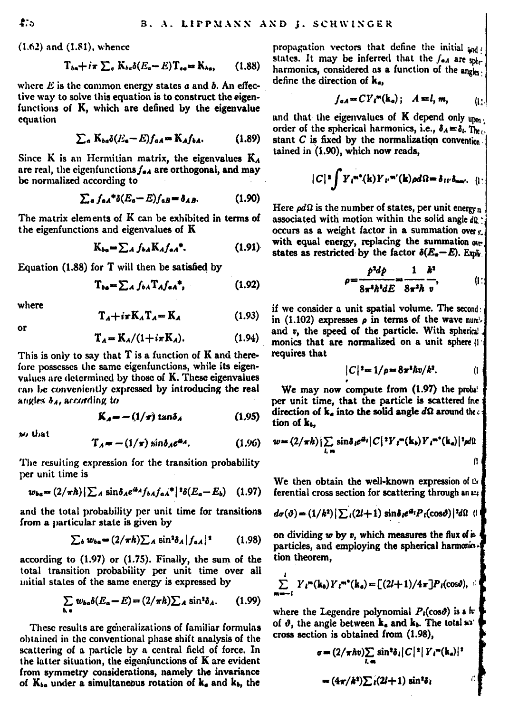$(1.62)$  and  $(1.81)$ , whence

$$
T_{ba} + i\pi \sum_{e} K_{bc} \delta(E_e - E) T_{ee} = K_{ba}, \qquad (1.88)
$$

where  $E$  is the common energy states  $a$  and  $b$ . An effective way to solve this equation is to construct the ejeenfunctions of K. which are defined by the eigenvalue equation

$$
\sum_{a} K_{ba} \delta(E_a - E) f_{aA} = K_A f_{bA}.
$$
 (1.89)

Since  $K$  is an Hermitian matrix, the eigenvalues  $K_A$ are real, the eigenfunctions  $f_{\bullet A}$  are orthogonal, and may be normalized according to

$$
\sum_{a} f_{aA}^* \delta(E_a - E) f_{aB} = \delta_{AB}.
$$
 (1.90)

The matrix elements of K can be exhibited in terms of the eigenfunctions and eigenvalues of K

$$
K_{ba} = \sum_{A} f_{ba} K_{A} f_{aa}.
$$
 (1.91)

Equation (1.88) for T will then be satisfied by

$$
T_{ba} = \sum_{A} f_{ba} T_{A} f_{aa}^{*}, \qquad (1.92)
$$

where  $\ddot{\phantom{a}}$ 

$$
T_A + i\pi K_A T_A = K_A \tag{1.93}
$$

$$
\mathbf{T}_t = \mathbf{K}_t / (1 + i \pi \mathbf{K}_t). \tag{1.94}
$$

This is only to say that  $T$  is a function of  $K$  and therefore possesses the same eigenfunctions, while its eigenvalues are determined by those of K. These eigenvalues can be conveniently expressed by introducing the real angles  $\delta_A$ , according to

$$
K_4 = -(1/\pi) \tan \delta_4 \tag{1.95}
$$

we that

$$
T_A = -(1/\pi) \sin \delta_A e^{i\theta_A}.
$$
 (1.96)

The resulting expression for the transition probability per unit time is

$$
w_{ba} = (2/\pi\hbar) \sum_{A} \sin \delta_{A} e^{i\theta_{A}} f_{bA} f_{aA}^* \left| \right. ^{3} \delta(E_{a} - E_{b}) \quad (1.97)
$$

and the total probability per unit time for transitions from a particular state is given by

$$
\sum_b w_{ba} = (2/\pi h) \sum_A \sin^2 \delta_A |f_{aA}|^2 \qquad (1.98)
$$

according to  $(1.97)$  or  $(1.75)$ . Finally, the sum of the total transition probability per unit time over all mitial states of the same energy is expressed by

$$
\sum_{b,a} w_{ba} \delta(E_a - E) = (2/\pi h) \sum_A \sin^2 \delta_A. \qquad (1.99)
$$

These results are generalizations of familiar formulas obtained in the conventional phase shift analysis of the scattering of a particle by a central field of force. In the latter situation, the eigenfunctions of K are evident from symmetry considerations, namely the invariance of K<sub>be</sub> under a simultaneous rotation of k<sub>e</sub> and k<sub>b</sub>, the

propagation vectors that define the initial and states. It may be inferred that the  $f_{\alpha A}$  are solharmonics, considered as a function of the angle. define the direction of k.

$$
f_{\alpha A} = C Y_i^m(\mathbf{k}_\alpha); \quad A = l, m, \quad (1)
$$

and that the eigenvalues of  $K$  depend only  $_{\text{tlim}}$ . order of the spherical harmonics, i.e.,  $\delta_A = \delta_L T_{bc}$ . stant  $C$  is fixed by the normalization convention tained in (1.90), which now reads.

$$
|C|^{\frac{1}{2}}\int Y_{i}^{-n}(k)Y_{i'}^{-n'}(k)\rho d\Omega=\delta_{ii'}\delta_{mn'},\quad (1)
$$

Here  $\rho d\Omega$  is the number of states, per unit energy n associated with motion within the solid angle do . occurs as a weight factor in a summation over a with equal energy, replacing the summation over states as restricted by the factor  $\delta(E_a - E)$ . Emi-

$$
\rho = \frac{p^2 d\rho}{8\pi^2 h^2 dE} = \frac{1}{8\pi^2 h} \frac{k^2}{v}, \qquad (1)
$$

if we consider a unit spatial volume. The secondin  $(1.102)$  expresses  $\rho$  in terms of the wave numand v. the speed of the particle. With spherici monics that are normalized on a unit sphere () requires that

$$
|C|^2 = 1/\rho = 8\pi^2 \hbar v/k^2. \qquad (1
$$

We may now compute from (1.97) the probable per unit time, that the particle is scattered fre direction of  $k_a$  into the solid angle  $d\Omega$  around the  $\epsilon$ tion of k.

$$
w = (2/\pi h) \sum_{i,m} \sin \delta_i e^{i\theta_i} |C|^2 Y_i^m(\mathbf{k}_b) Y_i^{m^*}(\mathbf{k}_a) |^2 \rho d\Omega
$$

We then obtain the well-known expression of the ferential cross section for scattering through an an

$$
d\sigma(\vartheta) = (1/k^2) \left[ \sum_i (2l+1) \sin \delta_i e^{i\theta_i} P_i(\cos \vartheta) \right] \, d\Omega \quad (1)
$$

on dividing  $w$  by  $v$ , which measures the flux of  $\mu$ particles, and employing the spherical harmoniction theorem.

$$
\sum_{n=-i}^{i} Y_i^{m}(\mathbf{k}_s) Y_i^{m*}(\mathbf{k}_s) = \left[ (2l+1)/4\pi \right] P_i(\cos\theta),
$$

where the Legendre polynomial  $P_i(\cos\theta)$  is a  $\pi$ of  $\vartheta$ , the angle between k, and k, The total so cross section is obtained from (1.98).

$$
\sigma = (2/\pi \hbar v) \sum_{l,m} \sin^2 \delta_l |C|^2 |Y_l^m(\mathbf{k}_a)|^2
$$
  
=  $(4\pi/\hbar^2) \sum_i (2l+1) \sin^2 \delta_i$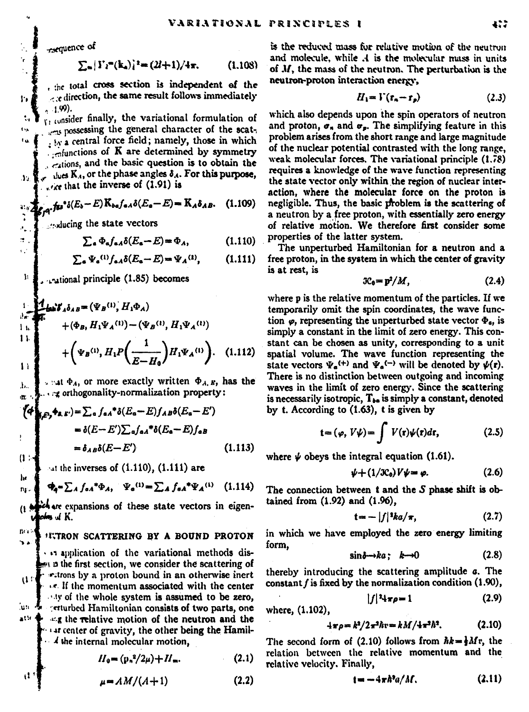rsequence of

r,

 $\ddot{\phantom{a}}$ 

tu.

 $\mathbf{r}_2$ 

 $\pi_{\theta}$  ,  $\overline{\Delta}_{\theta}$ ĵ.

 $\sigma$  .

 $\epsilon_{\rm B}$ 

$$
\sum_{n} |Y_i^{(n)}(k_n)|^2 = (2l+1)/4\pi. \tag{1.108}
$$

, the total cross section is independent of the edirection, the same result follows immediately  $-1.99$ 

 $r_1$ , consider finally, the variational formulation of possessing the general character of the scat-. In a central force field; namely, those in which  $\frac{1}{2}$   $\frac{1}{2}$   $\frac{1}{2}$   $\frac{1}{2}$   $\frac{1}{2}$   $\frac{1}{2}$   $\frac{1}{2}$   $\frac{1}{2}$   $\frac{1}{2}$   $\frac{1}{2}$   $\frac{1}{2}$   $\frac{1}{2}$   $\frac{1}{2}$   $\frac{1}{2}$   $\frac{1}{2}$   $\frac{1}{2}$   $\frac{1}{2}$   $\frac{1}{2}$   $\frac{1}{2}$   $\frac{1}{2}$   $\frac{1}{2}$   $\frac{1}{2}$  cations, and the basic question is to obtain the thes K<sub>4</sub>, or the phase angles  $\delta_A$ . For this purpose, ,  $\epsilon$  that the inverse of  $(1.91)$  is

$$
\int_{\mathbb{R}^2} f \mathfrak{g}^* \delta(E_b - E) \, K_{ba} f_{aA} \delta(E_a - E) = K_A \delta_{AB}.
$$
 (1.109)

... ducing the state vectors

$$
\sum_{\mathbf{a}} \Phi_{\mathbf{a}} f_{\mathbf{a}A} \delta(E_{\mathbf{a}} - E) = \Phi_A, \tag{1.110}
$$

$$
\sum_{\mathbf{a}} \Psi_{\mathbf{a}}^{(1)} f_{\mathbf{a}A} \delta(E_{\mathbf{a}} - E) = \Psi_A^{(1)}, \qquad (1.111)
$$

 $\mathbf{h}$ national principle (1.85) becomes

 $\sqrt{2}$  at  $\Phi$ <sub>4</sub>, or more exactly written  $\Phi$ <sub>4</sub>,  $\kappa$ , has the a orthogonality-normalization property:

$$
\begin{cases}\n\mathbf{A}_{\mathbf{a},\mathbf{c},\mathbf{b}}(\mathbf{c},\mathbf{c}) = \sum_{a} f_{a\mathbf{a}}^* \delta(E_a - E) f_{a\mathbf{a}} \delta(E_a - E') \\
= \delta(E - E') \sum_{a} f_{a\mathbf{a}}^* \delta(E_a - E) f_{a\mathbf{a}} \\
= \delta_{A\mathbf{a}} \delta(E - E')\n\end{cases} \tag{1.113}
$$

 $\cdot$ 4t the inverses of  $(1.110)$ ,  $(1.111)$  are

$$
\Phi_{\mathbf{q}} = \sum_{A} f_{\mathbf{q}A}^* \Phi_{A}, \quad \Psi_{\mathbf{q}}^{(1)} = \sum_{A} f_{\mathbf{q}A}^* \Psi_{A}^{(1)} \quad (1.114)
$$

chare expansions of these state vectors in eigenden af K.

#### **ITTRON SCATTERING BY A BOUND PROTON**

. . application of the variational methods disat a the first section, we consider the scattering of retrons by a proton bound in an otherwise inert  $\mathfrak{a}$  of ... If the momentum associated with the center sty of the whole system is assumed to be zero. յու 4 enturbed Hamiltonian consists of two parts, one  $x^{(i)}$  +  $\pm x$  the relative motion of the neutron and the at center of gravity, the other being the Hamil- $\cdot$  4 the internal molecular motion.

$$
H_0 = (p_n^2/2\mu) + H_m. \tag{2.1}
$$

 $\mu = AM/(A+1)$  $(2.2)$ 

is the reduced mass for relative motion of the neutron and molecule, while A is the molecular mass in units of M, the mass of the neutron. The perturbation is the neutron-proton interaction energy.

$$
H_1 = \Gamma(r, -r_p) \tag{2.3}
$$

which also depends upon the spin operators of neutron and proton,  $\sigma$ , and  $\sigma$ . The simplifying feature in this problem arises from the short range and large magnitude of the nuclear potential contrasted with the long range. weak molecular forces. The variational principle (1.78) requires a knowledge of the wave function representing the state vector only within the region of nuclear interaction, where the molecular force on the proton is negligible. Thus, the basic problem is the scattering of a neutron by a free proton, with essentially zero energy of relative motion. We therefore first consider some properties of the latter system.

The unperturbed Hamiltonian for a neutron and a free proton, in the system in which the center of gravity is at rest, is

$$
3C_0 = p^2/M, \tag{2.4}
$$

where p is the relative momentum of the particles. If we temporarily omit the spin coordinates, the wave function  $\omega$ , representing the unperturbed state vector  $\Phi$ . is simply a constant in the limit of zero energy. This constant can be chosen as unity, corresponding to a unit spatial volume. The wave function representing the state vectors  $\Psi_a^{(+)}$  and  $\Psi_a^{(-)}$  will be denoted by  $\psi(r)$ . There is no distinction between outgoing and incoming waves in the limit of zero energy. Since the scattering is necessarily isotropic,  $T_{ba}$  is simply a constant, denoted by t. According to (1.63), t is given by

$$
= (\varphi, V\psi) = \int V(\mathbf{r})\psi(\mathbf{r})d\mathbf{r}, \qquad (2.5)
$$

where  $\psi$  obeys the integral equation (1.61).

$$
\psi + (1/3C_0)V\psi = \varphi. \tag{2.6}
$$

The connection between  $t$  and the  $S$  phase shift is obtained from (1.92) and (1.96),

$$
t = -|f|^2ka/\pi, \qquad (2.7)
$$

in which we have employed the zero energy limiting form.

$$
\sin\delta \to ka; \quad k \to 0 \tag{2.8}
$$

thereby introducing the scattering amplitude a. The constant  $f$  is fixed by the normalization condition  $(1.90)$ ,

$$
|f|^2 4\pi \rho = 1 \tag{2.9}
$$

where, (1.102).

$$
4\pi\rho = k^2/2\pi^2\hbar v = kM/4\pi^2\hbar^2. \tag{2.10}
$$

The second form of (2.10) follows from  $hk = \frac{1}{2}Mr$ , the relation between the relative momentum and the relative velocity, Finally,

$$
t = -4\pi\hbar^2 a/M. \tag{2.11}
$$

n.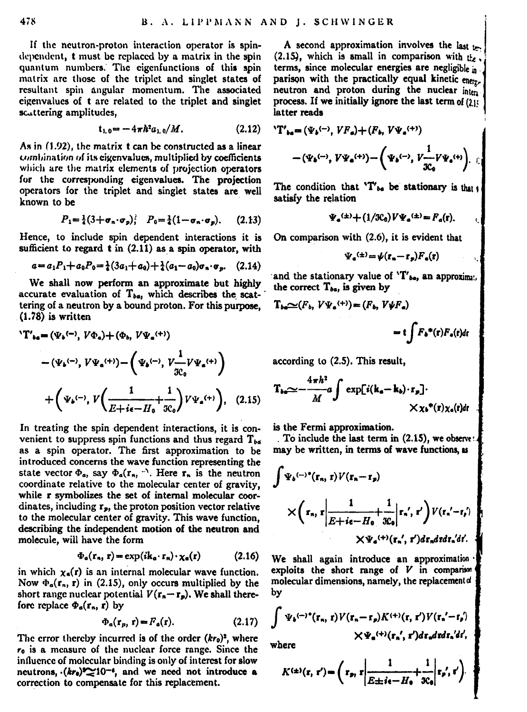If the neutron-proton interaction operator is spindependent, t must be replaced by a matrix in the spin quantum numbers. The eigenfunctions of this spin matrix are those of the triplet and singlet states of resultant spin angular momentum. The associated cigenvalues of t are related to the triplet and singlet scattering amplitudes,

$$
t_{1.0} = -4\pi h^2 a_{1.0} / M. \tag{2.12}
$$

As in (1.92), the matrix t can be constructed as a linear combination of its cigenvalues, multiplied by coefficients which are the matrix elements of projection operators for the corresponding eigenvalues. The projection operators for the triplet and singlet states are well known to be

$$
P_1 = \frac{1}{4}(3+\sigma_n \cdot \sigma_p); \quad P_0 = \frac{1}{4}(1-\sigma_n \cdot \sigma_p). \tag{2.13}
$$

Hence, to include spin dependent interactions it is sufficient to regard t in (2.11) as a spin operator, with

$$
a = a_1 P_1 + a_0 P_0 = \frac{1}{4} (3a_1 + a_0) + \frac{1}{4} (a_1 - a_0) \sigma_n \cdot \sigma_p. \quad (2.14)
$$

We shall now perform an approximate but highly accurate evaluation of T<sub>be</sub>, which describes the scattering of a neutron by a bound proton. For this purpose.  $(1.78)$  is written

$$
\begin{split} \mathbf{T}_{\mathbf{ta}} &= \left(\Psi_{\mathbf{s}}{}^{\left(-\right)}, V\Phi_{\mathbf{s}}\right) + \left(\Phi_{\mathbf{s}}, V\Psi_{\mathbf{s}}{}^{\left(+\right)}\right) \\ &= \left(\Psi_{\mathbf{s}}{}^{\left(-\right)}, V\Psi_{\mathbf{s}}{}^{\left(+\right)}\right) - \left(\Psi_{\mathbf{s}}{}^{\left(-\right)}, V\frac{1}{2c}V\Psi_{\mathbf{s}}{}^{\left(+\right)}\right) \\ &+ \left(\Psi_{\mathbf{s}}{}^{\left(-\right)}, V\left(\frac{1}{E + i\epsilon - H_{\mathbf{s}}}\frac{1}{3c_{\mathbf{s}}}\right)V\Psi_{\mathbf{s}}{}^{\left(+\right)}\right), \quad (2.15) \end{split}
$$

In treating the spin dependent interactions, it is convenient to suppress spin functions and thus regard  $T_{ba}$ as a spin operator. The first approximation to be introduced concerns the wave function representing the state vector  $\Phi_a$ , say  $\Phi_a(\mathbf{r}_n, \cdot)$ . Here  $\mathbf{r}_n$  is the neutron coordinate relative to the molecular center of gravity. while r symbolizes the set of internal molecular coordinates, including  $r_{\rm m}$ , the proton position vector relative to the molecular center of gravity. This wave function. describing the independent motion of the neutron and molecule, will have the form

$$
\Phi_{\alpha}(\mathbf{r}_{n}, \mathbf{r}) = \exp(i\mathbf{k}_{\alpha} \cdot \mathbf{r}_{n}) \cdot \chi_{\alpha}(\mathbf{r}) \tag{2.16}
$$

in which  $x_n(t)$  is an internal molecular wave function. Now  $\Phi_a(\mathbf{r}_n, \mathbf{r})$  in (2.15), only occurs multiplied by the short range nuclear potential  $V(r - r_*)$ . We shall therefore replace  $\Phi_1(r_-, r)$  by

$$
\Phi_a(\mathbf{r}_p, \mathbf{r}) = F_a(\mathbf{r}).\tag{2.17}
$$

The error thereby incurred is of the order  $(kr_0)^2$ , where re is a measure of the nuclear force range. Since the influence of molecular binding is only of interest for slow neutrons.  $(kr_0)^2$  10<sup>-4</sup>, and we need not introduce a correction to compensate for this replacement.

A second approximation involves the last  $L$ (2.15), which is small in comparison with the terms, since molecular energies are negligible a parison with the practically equal kinetic energies. neutron and proton during the nuclear inten process. If we initially ignore the last term of (2): latter reads

$$
{}^{V}\Gamma'_{ba} = (\Psi_b \langle \neg \rangle, V F_a) + (F_b, V \Psi_a \langle \neg \rangle) - (\Psi_b \langle \neg \rangle, V \Psi_a \langle \neg \rangle) - \left( \Psi_b \langle \neg \rangle, V \frac{1}{3C_0} V \Psi_a \langle \neg \rangle \right) .
$$

The condition that 'T'<sub>be</sub> be stationary is that satisfy the relation

$$
V_a^{(\pm)} + (1/3C_0)V\Psi_a^{(\pm)} = F_a(r).
$$

On comparison with (2.6), it is evident that

$$
V_{\mathbf{a}}^{(\pm)} = \psi(\mathbf{r}_{\mathbf{a}} - \mathbf{r}_{\mathbf{p}})F_{\mathbf{a}}(\mathbf{r})
$$

and the stationary value of 'T'<sub>be</sub>, an approximate the correct T<sub>ba</sub>, is given by

$$
T_{ba}\sim (F_b, V\Psi_a^{(+)})=(F_b, V\Psi F_a)
$$

$$
= t \int F_b^*(\mathbf{r}) F_a(\mathbf{r}) d\mathbf{r}
$$

according to (2.5). This result,

$$
T_{bs} \simeq -\frac{4\pi h^2}{M} a \int \exp[i(k_a - k_b) \cdot r_p] \cdot \times x_b^*(r) x_s(r) dr
$$

is the Fermi approximation.

To include the last term in (2.15), we observe may be written, in terms of wave functions as

$$
\int \Psi_4 \longleftrightarrow^* (\mathbf{r}_n, \mathbf{r}) V(\mathbf{r}_n - \mathbf{r}_p) \times \left( \mathbf{r}_n, \mathbf{r} \left| \frac{1}{E + i\epsilon - H_4}, \frac{1}{\mathcal{X}_6} \right| \mathbf{r}_n', \mathbf{r}' \right) V(\mathbf{r}_n' - \mathbf{r}_i') \times \Psi_4 \leftrightarrow (\mathbf{r}_n', \mathbf{r}) d\mathbf{r}_n d\mathbf{r} d_n' d\epsilon.
$$

We shall again introduce an approximation exploits the short range of  $V$  in comparison molecular dimensions, namely, the replacement of by

$$
\int \Psi_{b}^{(-)*}(\mathbf{r}_{n}, t) V(\mathbf{r}_{n} - \mathbf{r}_{p}) K^{(+)}(\mathbf{r}, t') V(\mathbf{r}_{n}^{\prime} - \mathbf{r}_{p}^{\prime})
$$
\n
$$
\times \Psi_{a}^{(+)}(\mathbf{r}_{n}^{\prime}, t') d\mathbf{r}_{n} d\mathbf{r} d\mathbf{r}_{n}^{\prime} d\ell,
$$
\nwhere

$$
K^{(\pm)}(\mathbf{r},\mathbf{r}') = \left(\mathbf{r}_p,\mathbf{r} \middle| \frac{1}{E \pm i\epsilon - H_0} + \frac{1}{3\epsilon_0} \middle| \mathbf{r}_p',\mathbf{r}'\right).
$$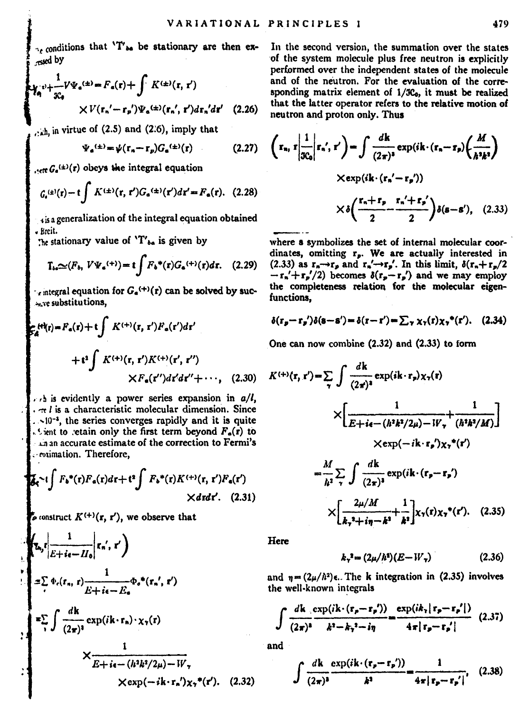conditions that 'T' a be stationary are then exresed by

$$
\sum_{\mathcal{R}_4} v + \frac{1}{3C_4} \nabla \cdot \mathbf{F}_a(x) = F_a(\mathbf{r}) + \int K^{(\pm)}(\mathbf{r}, \mathbf{r}') \cdot K^{(\pm)}(\mathbf{r}, \mathbf{r}') d\mathbf{r}_a/d\mathbf{r}' \quad (2.26)
$$

 $_{c, \text{th}}$ , in virtue of (2.5) and (2.6), imply that

$$
\Psi_a^{(\pm)} = \psi(\mathbf{r}_a - \mathbf{r}_p) G_a^{(\pm)}(\mathbf{r}) \tag{2.27}
$$

 $...$   $C_{n}(t)(t)$  obeys the integral equation

$$
\mathcal{G}_{e}^{(x)}(r) - t \int K^{(\pm)}(r, r') G_{e}^{(\pm)}(r') dr' = F_{e}(r). \quad (2.28)
$$

is a generalization of the integral equation obtained - Breit.

The stationary value of 'T'<sub>be</sub> is given by

$$
T_{bs} \simeq (F_b, V\Psi_a^{(+)}) = t \int F_b^*(r) G_a^{(+)}(r) dr. \quad (2.29)
$$

 $\cdot$  integral equation for  $G_a^{(+)}(r)$  can be solved by sucsay obstitutions.

$$
\begin{aligned} \mathcal{E}_{\alpha}^{(m)}(r) &= F_{\alpha}(r) + t \int K^{(+)}(r, r')F_{\alpha}(r') dr' \\ &+ t^2 \int K^{(+)}(r, r')K^{(+)}(r', r'') \\ & \times F_{\alpha}(r'') dr' dr'' + \cdots, \end{aligned} \tag{2.30}
$$

 $\ldots$  is evidently a power series expansion in  $a/l$ . . et l is a characteristic molecular dimension. Since ... 10<sup>-3</sup>, the series converges rapidly and it is quite Signt to retain only the first term beyond  $F_n(r)$  to an accurate estimate of the correction to Fermi's . eximation. Therefore,

$$
\mathcal{L}_{\bullet} \sim i \int F_{\bullet}^{\bullet}(r) F_{\bullet}(r) dr + t^2 \int F_{\bullet}^{\bullet}(r) K^{(+)}(r, r') F_{\bullet}(r')
$$
  
×drdr'. (2.31)

 $\mathcal{F}_{\mathbf{z}}$  construct  $K^{(+)}(\mathbf{r}, \mathbf{r}')$ , we observe that

 $\frac{1}{\kappa + i\epsilon - H}$   $\left(\kappa, r'\right)$  $=\sum_{i} \Phi_{i}(r_{n}, r) \frac{1}{E + i\epsilon - E} \Phi_{i}^{*}(r_{n}, r')$  $\begin{split} = & \sum_{\gamma} \int \frac{d\mathbf{k}}{(2\pi)^4} \exp(i\mathbf{k}\cdot\mathbf{r}_n) \cdot \chi_{\gamma}(\mathbf{r}) \\ & \times \frac{1}{E+i\epsilon - \left(h^2 k^2/2\mu\right) - W_{\gamma}} \end{split}$  $\times$ exp( $-i\mathbf{k}\cdot\mathbf{r}_n$ ') $\mathbf{x}\cdot^*(\mathbf{r}')$ . (2.32) In the second version, the summation over the states of the system molecule plus free neutron is explicitly performed over the independent states of the molecule and of the neutron. For the evaluation of the corresponding matrix element of 1/3Co, it must be realized that the latter operator refers to the relative motion of neutron and proton only. Thus

$$
\left(\mathbf{r}_n \cdot \mathbf{r} \bigg| \frac{1}{3C_0} \bigg| \mathbf{r}_n \cdot \mathbf{r}'\right) = \int \frac{d\mathbf{k}}{(2\pi)^3} \exp(i\mathbf{k} \cdot (\mathbf{r}_n - \mathbf{r}_p) \left(\frac{M}{\hbar^3 \hbar^3}\right)
$$

$$
\times \exp(i\mathbf{k} \cdot (\mathbf{r}_n' - \mathbf{r}_p'))
$$

$$
\times \delta \left(\frac{\mathbf{r}_n + \mathbf{r}_p}{2} - \frac{\mathbf{r}_n' + \mathbf{r}_p'}{2}\right) \delta(\mathbf{s} - \mathbf{s}'), \quad (2.33)
$$

where a symbolizes the set of internal molecular coordinates, omitting r<sub>n</sub>. We are actually interested in (2.33) as  $r_n \rightarrow r_p$  and  $r_n' \rightarrow r_p'$ . In this limit,  $\delta(r_n + r_p/2)$  $-r_n'+r_p'/2$ ) becomes  $\delta(r_p-r_p')$  and we may employ the completeness relation for the molecular eigenfunctions.

$$
\delta(\mathbf{r}_p - \mathbf{r}_p')\delta(\mathbf{s} - \mathbf{s}') = \delta(\mathbf{r} - \mathbf{r}') = \sum_{\gamma} \chi_{\gamma}(\mathbf{r})\chi_{\gamma}^{\bullet}(\mathbf{r}'). \quad (2.34)
$$

One can now combine (2.32) and (2.33) to form

$$
K^{(+)}(\mathbf{r}, \mathbf{r}') = \sum_{\mathbf{v}} \int \frac{d\mathbf{k}}{(2\pi)^3} \exp(i\mathbf{k} \cdot \mathbf{r}_s) \chi_{\mathbf{v}}(\mathbf{r})
$$

$$
\times \left[ \frac{1}{E + i\mathbf{e} - (h^2 h^2 / 2\mu) - W_{\mathbf{v}} + \mu^2 (h^2 h^2 / M)} \right]
$$

$$
\times \exp(-i\mathbf{k} \cdot \mathbf{r}_s) \chi_{\mathbf{v}}^{-\mathbf{v}}(\mathbf{r}')
$$

$$
= \frac{M}{h^2} \sum_{\mathbf{k}} \int \frac{d\mathbf{k}}{(2\pi)^3} \exp(i\mathbf{k} \cdot (\mathbf{r}_s - \mathbf{r}_s')
$$

$$
\times \left[\frac{2\mu/M}{k_{\tau}+i\eta-k^2}+\frac{1}{k^2}\right] \chi_{\tau}(\mathbf{r})\chi_{\tau}^{\ \ \mathbf{r}}(\mathbf{r}'). \quad (2.35)
$$

Here

$$
k_{\gamma}^{2} = (2\mu/h^2)(E - W_{\gamma})
$$
 (2.36)

and  $\eta = (2\mu/\hbar^2)\epsilon$ . The k integration in (2.35) involves the well-known integrals

$$
\int \frac{dk \exp(ik \cdot (\mathbf{r}_p - \mathbf{r}_p'))}{(2\pi)^3} = \frac{\exp(ik_1|\mathbf{r}_p - \mathbf{r}_p'|)}{k^3 - k_1^2 - k_2^2 - k_1^2} \tag{2.37}
$$

and

$$
\int \frac{d\mathbf{k}}{(2\pi)^3} \frac{\exp(i\mathbf{k} \cdot (\mathbf{r}_p - \mathbf{r}_p'))}{k^3} = \frac{1}{4\pi |\mathbf{r}_p - \mathbf{r}_p'|}, \quad (2.38)
$$